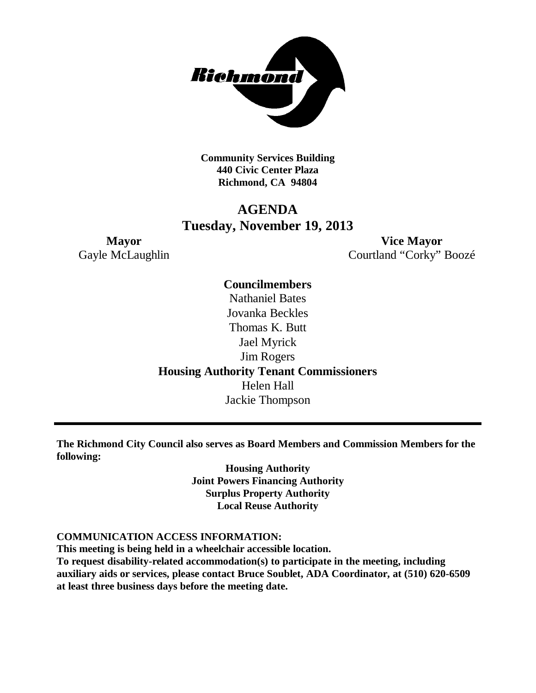

**Community Services Building 440 Civic Center Plaza Richmond, CA 94804**

# **AGENDA Tuesday, November 19, 2013**

**Mayor Vice Mayor** Gayle McLaughlin Courtland "Corky" Boozé

# **Councilmembers** Nathaniel Bates Jovanka Beckles Thomas K. Butt Jael Myrick Jim Rogers **Housing Authority Tenant Commissioners** Helen Hall

Jackie Thompson

**The Richmond City Council also serves as Board Members and Commission Members for the following:**

> **Housing Authority Joint Powers Financing Authority Surplus Property Authority Local Reuse Authority**

#### **COMMUNICATION ACCESS INFORMATION:**

**This meeting is being held in a wheelchair accessible location.**

**To request disability-related accommodation(s) to participate in the meeting, including auxiliary aids or services, please contact Bruce Soublet, ADA Coordinator, at (510) 620-6509 at least three business days before the meeting date.**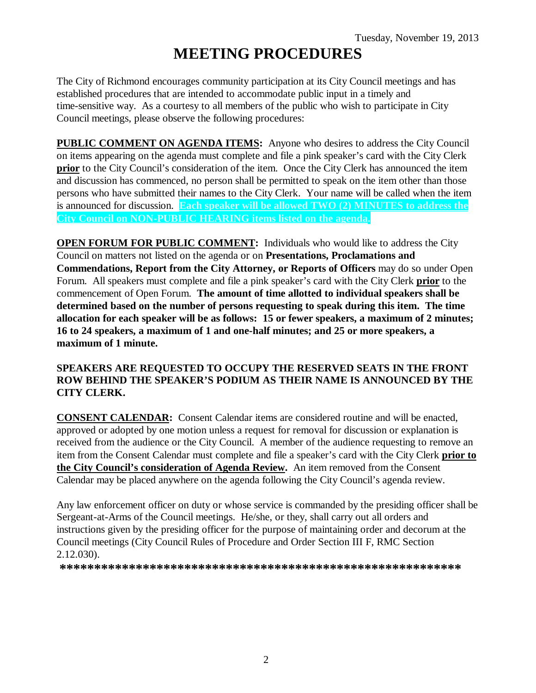# **MEETING PROCEDURES**

The City of Richmond encourages community participation at its City Council meetings and has established procedures that are intended to accommodate public input in a timely and time-sensitive way. As a courtesy to all members of the public who wish to participate in City Council meetings, please observe the following procedures:

**PUBLIC COMMENT ON AGENDA ITEMS:** Anyone who desires to address the City Council on items appearing on the agenda must complete and file a pink speaker's card with the City Clerk **prior** to the City Council's consideration of the item. Once the City Clerk has announced the item and discussion has commenced, no person shall be permitted to speak on the item other than those persons who have submitted their names to the City Clerk. Your name will be called when the item is announced for discussion. **Each speaker will be allowed TWO (2) MINUTES to address the City Council on NON-PUBLIC HEARING items listed on the agenda.**

**OPEN FORUM FOR PUBLIC COMMENT:** Individuals who would like to address the City Council on matters not listed on the agenda or on **Presentations, Proclamations and Commendations, Report from the City Attorney, or Reports of Officers** may do so under Open Forum. All speakers must complete and file a pink speaker's card with the City Clerk **prior** to the commencement of Open Forum. **The amount of time allotted to individual speakers shall be determined based on the number of persons requesting to speak during this item. The time allocation for each speaker will be as follows: 15 or fewer speakers, a maximum of 2 minutes; 16 to 24 speakers, a maximum of 1 and one-half minutes; and 25 or more speakers, a maximum of 1 minute.**

#### **SPEAKERS ARE REQUESTED TO OCCUPY THE RESERVED SEATS IN THE FRONT ROW BEHIND THE SPEAKER'S PODIUM AS THEIR NAME IS ANNOUNCED BY THE CITY CLERK.**

**CONSENT CALENDAR:** Consent Calendar items are considered routine and will be enacted, approved or adopted by one motion unless a request for removal for discussion or explanation is received from the audience or the City Council. A member of the audience requesting to remove an item from the Consent Calendar must complete and file a speaker's card with the City Clerk **prior to the City Council's consideration of Agenda Review.** An item removed from the Consent Calendar may be placed anywhere on the agenda following the City Council's agenda review.

Any law enforcement officer on duty or whose service is commanded by the presiding officer shall be Sergeant-at-Arms of the Council meetings. He/she, or they, shall carry out all orders and instructions given by the presiding officer for the purpose of maintaining order and decorum at the Council meetings (City Council Rules of Procedure and Order Section III F, RMC Section 2.12.030).

**\*\*\*\*\*\*\*\*\*\*\*\*\*\*\*\*\*\*\*\*\*\*\*\*\*\*\*\*\*\*\*\*\*\*\*\*\*\*\*\*\*\*\*\*\*\*\*\*\*\*\*\*\*\*\*\*\*\***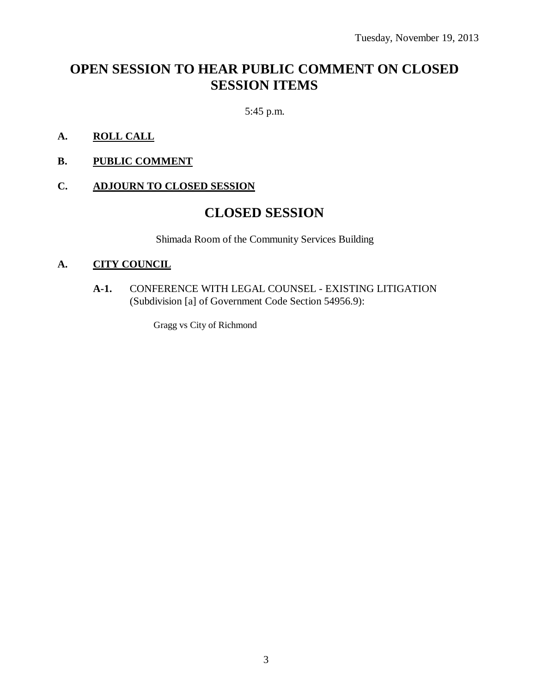# **OPEN SESSION TO HEAR PUBLIC COMMENT ON CLOSED SESSION ITEMS**

5:45 p.m.

- **A. ROLL CALL**
- **B. PUBLIC COMMENT**

#### **C. ADJOURN TO CLOSED SESSION**

# **CLOSED SESSION**

Shimada Room of the Community Services Building

#### **A. CITY COUNCIL**

**A-1.** CONFERENCE WITH LEGAL COUNSEL - EXISTING LITIGATION (Subdivision [a] of Government Code Section 54956.9):

Gragg vs City of Richmond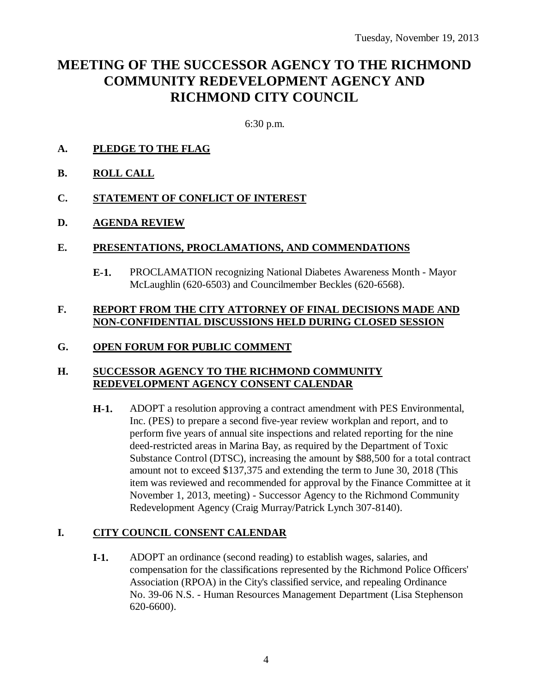# **MEETING OF THE SUCCESSOR AGENCY TO THE RICHMOND COMMUNITY REDEVELOPMENT AGENCY AND RICHMOND CITY COUNCIL**

6:30 p.m.

- **A. PLEDGE TO THE FLAG**
- **B. ROLL CALL**
- **C. STATEMENT OF CONFLICT OF INTEREST**
- **D. AGENDA REVIEW**

#### **E. PRESENTATIONS, PROCLAMATIONS, AND COMMENDATIONS**

**E-1.** PROCLAMATION recognizing National Diabetes Awareness Month - Mayor McLaughlin (620-6503) and Councilmember Beckles (620-6568).

#### **F. REPORT FROM THE CITY ATTORNEY OF FINAL DECISIONS MADE AND NON-CONFIDENTIAL DISCUSSIONS HELD DURING CLOSED SESSION**

### **G. OPEN FORUM FOR PUBLIC COMMENT**

#### **H. SUCCESSOR AGENCY TO THE RICHMOND COMMUNITY REDEVELOPMENT AGENCY CONSENT CALENDAR**

**H-1.** ADOPT a resolution approving a contract amendment with PES Environmental, Inc. (PES) to prepare a second five-year review workplan and report, and to perform five years of annual site inspections and related reporting for the nine deed-restricted areas in Marina Bay, as required by the Department of Toxic Substance Control (DTSC), increasing the amount by \$88,500 for a total contract amount not to exceed \$137,375 and extending the term to June 30, 2018 (This item was reviewed and recommended for approval by the Finance Committee at it November 1, 2013, meeting) - Successor Agency to the Richmond Community Redevelopment Agency (Craig Murray/Patrick Lynch 307-8140).

### **I. CITY COUNCIL CONSENT CALENDAR**

**I-1.** ADOPT an ordinance (second reading) to establish wages, salaries, and compensation for the classifications represented by the Richmond Police Officers' Association (RPOA) in the City's classified service, and repealing Ordinance No. 39-06 N.S. - Human Resources Management Department (Lisa Stephenson 620-6600).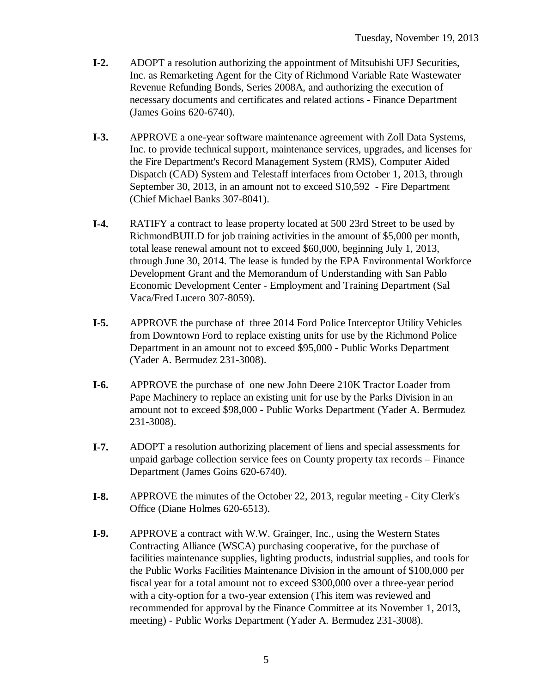- **I-2.** ADOPT a resolution authorizing the appointment of Mitsubishi UFJ Securities, Inc. as Remarketing Agent for the City of Richmond Variable Rate Wastewater Revenue Refunding Bonds, Series 2008A, and authorizing the execution of necessary documents and certificates and related actions - Finance Department (James Goins 620-6740).
- **I-3.** APPROVE a one-year software maintenance agreement with Zoll Data Systems, Inc. to provide technical support, maintenance services, upgrades, and licenses for the Fire Department's Record Management System (RMS), Computer Aided Dispatch (CAD) System and Telestaff interfaces from October 1, 2013, through September 30, 2013, in an amount not to exceed \$10,592 - Fire Department (Chief Michael Banks 307-8041).
- **I-4.** RATIFY a contract to lease property located at 500 23rd Street to be used by RichmondBUILD for job training activities in the amount of \$5,000 per month, total lease renewal amount not to exceed \$60,000, beginning July 1, 2013, through June 30, 2014. The lease is funded by the EPA Environmental Workforce Development Grant and the Memorandum of Understanding with San Pablo Economic Development Center - Employment and Training Department (Sal Vaca/Fred Lucero 307-8059).
- **I-5.** APPROVE the purchase of three 2014 Ford Police Interceptor Utility Vehicles from Downtown Ford to replace existing units for use by the Richmond Police Department in an amount not to exceed \$95,000 - Public Works Department (Yader A. Bermudez 231-3008).
- **I-6.** APPROVE the purchase of one new John Deere 210K Tractor Loader from Pape Machinery to replace an existing unit for use by the Parks Division in an amount not to exceed \$98,000 - Public Works Department (Yader A. Bermudez 231-3008).
- **I-7.** ADOPT a resolution authorizing placement of liens and special assessments for unpaid garbage collection service fees on County property tax records – Finance Department (James Goins 620-6740).
- **I-8.** APPROVE the minutes of the October 22, 2013, regular meeting City Clerk's Office (Diane Holmes 620-6513).
- **I-9.** APPROVE a contract with W.W. Grainger, Inc., using the Western States Contracting Alliance (WSCA) purchasing cooperative, for the purchase of facilities maintenance supplies, lighting products, industrial supplies, and tools for the Public Works Facilities Maintenance Division in the amount of \$100,000 per fiscal year for a total amount not to exceed \$300,000 over a three-year period with a city-option for a two-year extension (This item was reviewed and recommended for approval by the Finance Committee at its November 1, 2013, meeting) - Public Works Department (Yader A. Bermudez 231-3008).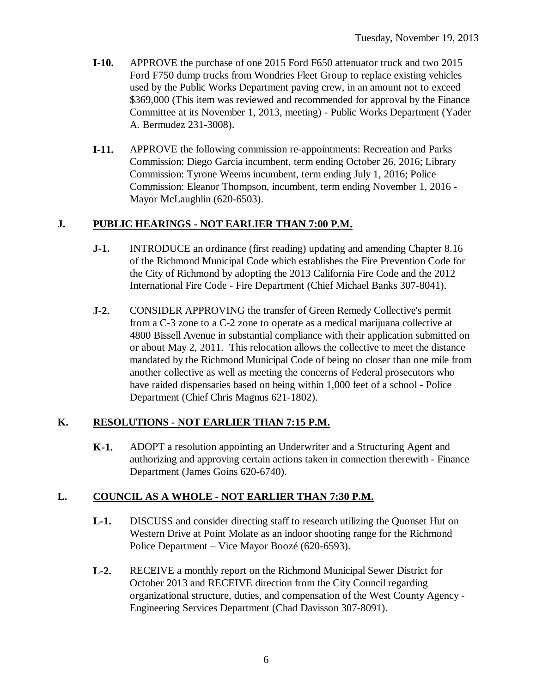- **I-10.** APPROVE the purchase of one 2015 Ford F650 attenuator truck and two 2015 Ford F750 dump trucks from Wondries Fleet Group to replace existing vehicles used by the Public Works Department paving crew, in an amount not to exceed \$369,000 (This item was reviewed and recommended for approval by the Finance Committee at its November 1, 2013, meeting) - Public Works Department (Yader A. Bermudez 231-3008).
- **I-11.** APPROVE the following commission re-appointments: Recreation and Parks Commission: Diego Garcia incumbent, term ending October 26, 2016; Library Commission: Tyrone Weems incumbent, term ending July 1, 2016; Police Commission: Eleanor Thompson, incumbent, term ending November 1, 2016 - Mayor McLaughlin (620-6503).

#### **J. PUBLIC HEARINGS - NOT EARLIER THAN 7:00 P.M.**

- **J-1.** INTRODUCE an ordinance (first reading) updating and amending Chapter 8.16 of the Richmond Municipal Code which establishes the Fire Prevention Code for the City of Richmond by adopting the 2013 California Fire Code and the 2012 International Fire Code - Fire Department (Chief Michael Banks 307-8041).
- **J-2.** CONSIDER APPROVING the transfer of Green Remedy Collective's permit from a C-3 zone to a C-2 zone to operate as a medical marijuana collective at 4800 Bissell Avenue in substantial compliance with their application submitted on or about May 2, 2011. This relocation allows the collective to meet the distance mandated by the Richmond Municipal Code of being no closer than one mile from another collective as well as meeting the concerns of Federal prosecutors who have raided dispensaries based on being within 1,000 feet of a school - Police Department (Chief Chris Magnus 621-1802).

### **K. RESOLUTIONS - NOT EARLIER THAN 7:15 P.M.**

**K-1.** ADOPT a resolution appointing an Underwriter and a Structuring Agent and authorizing and approving certain actions taken in connection therewith - Finance Department (James Goins 620-6740).

#### **L. COUNCIL AS A WHOLE - NOT EARLIER THAN 7:30 P.M.**

- **L-1.** DISCUSS and consider directing staff to research utilizing the Quonset Hut on Western Drive at Point Molate as an indoor shooting range for the Richmond Police Department – Vice Mayor Boozé (620-6593).
- **L-2.** RECEIVE a monthly report on the Richmond Municipal Sewer District for October 2013 and RECEIVE direction from the City Council regarding organizational structure, duties, and compensation of the West County Agency - Engineering Services Department (Chad Davisson 307-8091).